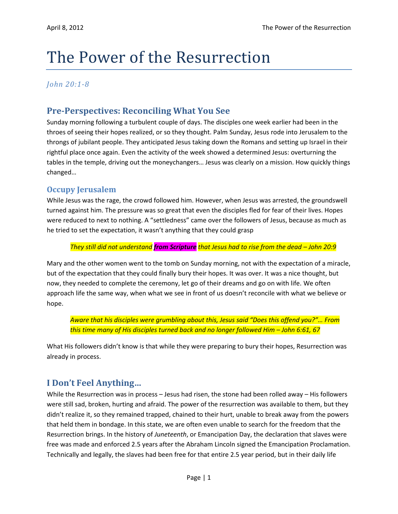# The Power of the Resurrection

## *John 20:1-8*

# **Pre-Perspectives: Reconciling What You See**

Sunday morning following a turbulent couple of days. The disciples one week earlier had been in the throes of seeing their hopes realized, or so they thought. Palm Sunday, Jesus rode into Jerusalem to the throngs of jubilant people. They anticipated Jesus taking down the Romans and setting up Israel in their rightful place once again. Even the activity of the week showed a determined Jesus: overturning the tables in the temple, driving out the moneychangers… Jesus was clearly on a mission. How quickly things changed…

## **Occupy Jerusalem**

While Jesus was the rage, the crowd followed him. However, when Jesus was arrested, the groundswell turned against him. The pressure was so great that even the disciples fled for fear of their lives. Hopes were reduced to next to nothing. A "settledness" came over the followers of Jesus, because as much as he tried to set the expectation, it wasn't anything that they could grasp

#### *They still did not understand from Scripture that Jesus had to rise from the dead – John 20:9*

Mary and the other women went to the tomb on Sunday morning, not with the expectation of a miracle, but of the expectation that they could finally bury their hopes. It was over. It was a nice thought, but now, they needed to complete the ceremony, let go of their dreams and go on with life. We often approach life the same way, when what we see in front of us doesn't reconcile with what we believe or hope.

*Aware that his disciples were grumbling about this, Jesus said "Does this offend you?"… From this time many of His disciples turned back and no longer followed Him – John 6:61, 67*

What His followers didn't know is that while they were preparing to bury their hopes, Resurrection was already in process.

# **I Don't Feel Anything…**

While the Resurrection was in process – Jesus had risen, the stone had been rolled away – His followers were still sad, broken, hurting and afraid. The power of the resurrection was available to them, but they didn't realize it, so they remained trapped, chained to their hurt, unable to break away from the powers that held them in bondage. In this state, we are often even unable to search for the freedom that the Resurrection brings. In the history of *Juneteenth*, or Emancipation Day, the declaration that slaves were free was made and enforced 2.5 years after the Abraham Lincoln signed the Emancipation Proclamation. Technically and legally, the slaves had been free for that entire 2.5 year period, but in their daily life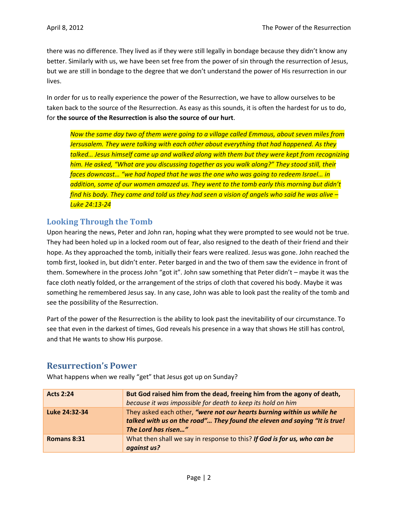there was no difference. They lived as if they were still legally in bondage because they didn't know any better. Similarly with us, we have been set free from the power of sin through the resurrection of Jesus, but we are still in bondage to the degree that we don't understand the power of His resurrection in our lives.

In order for us to really experience the power of the Resurrection, we have to allow ourselves to be taken back to the source of the Resurrection. As easy as this sounds, it is often the hardest for us to do, for **the source of the Resurrection is also the source of our hurt**.

*Now the same day two of them were going to a village called Emmaus, about seven miles from Jersusalem. They were talking with each other about everything that had happened. As they talked… Jesus himself came up and walked along with them but they were kept from recognizing him. He asked, "What are you discussing together as you walk along?" They stood still, their faces downcast… "we had hoped that he was the one who was going to redeem Israel… in*  addition, some of our women amazed us. They went to the tomb early this morning but didn't *find his body. They came and told us they had seen a vision of angels who said he was alive – Luke 24:13-24*

## **Looking Through the Tomb**

Upon hearing the news, Peter and John ran, hoping what they were prompted to see would not be true. They had been holed up in a locked room out of fear, also resigned to the death of their friend and their hope. As they approached the tomb, initially their fears were realized. Jesus was gone. John reached the tomb first, looked in, but didn't enter. Peter barged in and the two of them saw the evidence in front of them. Somewhere in the process John "got it". John saw something that Peter didn't – maybe it was the face cloth neatly folded, or the arrangement of the strips of cloth that covered his body. Maybe it was something he remembered Jesus say. In any case, John was able to look past the reality of the tomb and see the possibility of the Resurrection.

Part of the power of the Resurrection is the ability to look past the inevitability of our circumstance. To see that even in the darkest of times, God reveals his presence in a way that shows He still has control, and that He wants to show His purpose.

### **Resurrection's Power**

What happens when we really "get" that Jesus got up on Sunday?

| <b>Acts 2:24</b> | But God raised him from the dead, freeing him from the agony of death,<br>because it was impossible for death to keep its hold on him                                      |
|------------------|----------------------------------------------------------------------------------------------------------------------------------------------------------------------------|
| Luke 24:32-34    | They asked each other, "were not our hearts burning within us while he<br>talked with us on the road" They found the eleven and saying "It is true!<br>The Lord has risen" |
| Romans 8:31      | What then shall we say in response to this? If God is for us, who can be<br>against us?                                                                                    |